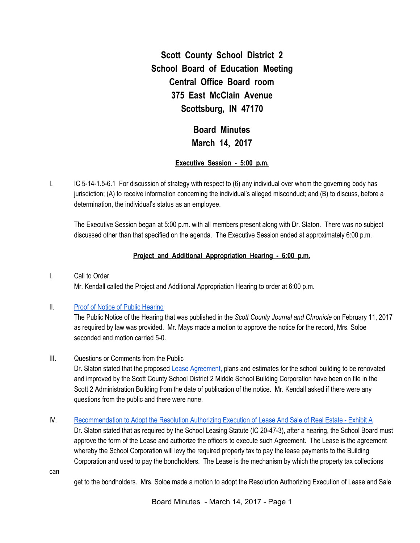**Scott County School District 2 School Board of Education Meeting Central Office Board room 375 East McClain Avenue Scottsburg, IN 47170**

> **Board Minutes March 14, 2017**

## **Executive Session - 5:00 p.m.**

I. IC 5-14-1.5-6.1 For discussion of strategy with respect to (6) any individual over whom the governing body has jurisdiction; (A) to receive information concerning the individual's alleged misconduct; and (B) to discuss, before a determination, the individual's status as an employee.

The Executive Session began at 5:00 p.m. with all members present along with Dr. Slaton. There was no subject discussed other than that specified on the agenda. The Executive Session ended at approximately 6:00 p.m.

## **Project and Additional Appropriation Hearing - 6:00 p.m.**

I. Call to Order

Mr. Kendall called the Project and Additional Appropriation Hearing to order at 6:00 p.m.

#### II. Proof of Notice of Public [Hearing](https://drive.google.com/file/d/0BxXvxnGh3EX1eVNwOTdBQ0hPNlJwTGJZc3JpWDhlR2JxcFBZ/view)

The Public Notice of the Hearing that was published in the *Scott County Journal and Chronicle* on February 11, 2017 as required by law was provided. Mr. Mays made a motion to approve the notice for the record, Mrs. Soloe seconded and motion carried 5-0.

III. Questions or Comments from the Public

Dr. Slaton stated that the proposed Lease [Agreement,](https://drive.google.com/file/d/0BxXvxnGh3EX1eE1NOHg4SGxXSGYyZ2pabkxfTDVteF90dUdr/view) plans and estimates for the school building to be renovated and improved by the Scott County School District 2 Middle School Building Corporation have been on file in the Scott 2 Administration Building from the date of publication of the notice. Mr. Kendall asked if there were any questions from the public and there were none.

#### IV. [Recommendation](https://drive.google.com/file/d/0BxXvxnGh3EX1VGF3UnhOUC1qbHZMTXFPTmloRTlVUno3QUU0/view) to Adopt the Resolution Authorizing Execution of Lease And Sale of Real Estate - Exhibit A

Dr. Slaton stated that as required by the School Leasing Statute (IC 20-47-3), after a hearing, the School Board must approve the form of the Lease and authorize the officers to execute such Agreement. The Lease is the agreement whereby the School Corporation will levy the required property tax to pay the lease payments to the Building Corporation and used to pay the bondholders. The Lease is the mechanism by which the property tax collections

can

get to the bondholders. Mrs. Soloe made a motion to adopt the Resolution Authorizing Execution of Lease and Sale

Board Minutes - March 14, 2017 - Page 1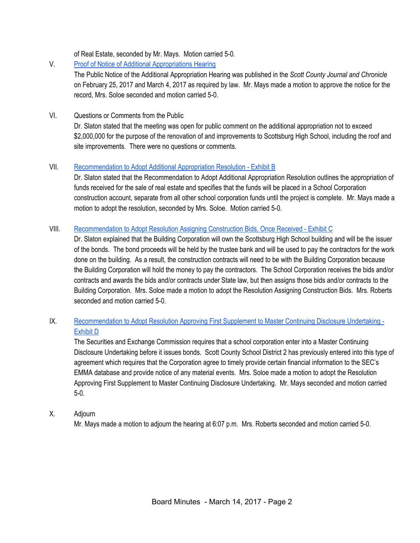of Real Estate, seconded by Mr. Mays. Motion carried 5-0.

# V. Proof of Notice of Additional [Appropriations](https://drive.google.com/file/d/0BxXvxnGh3EX1UzBTc0pQVk5fRWgyd1ZOWmZCdkUtbDlIYkJN/view) Hearing

The Public Notice of the Additional Appropriation Hearing was published in the *Scott County Journal and Chronicle* on February 25, 2017 and March 4, 2017 as required by law. Mr. Mays made a motion to approve the notice for the record, Mrs. Soloe seconded and motion carried 5-0.

## VI. Questions or Comments from the Public

Dr. Slaton stated that the meeting was open for public comment on the additional appropriation not to exceed \$2,000,000 for the purpose of the renovation of and improvements to Scottsburg High School, including the roof and site improvements. There were no questions or comments.

## VII. [Recommendation](https://drive.google.com/file/d/0BxXvxnGh3EX1T21JRjlWUm5aUDBIZlZKNDVsMjFRcU5ydWJJ/view) to Adopt Additional Appropriation Resolution - Exhibit B

Dr. Slaton stated that the Recommendation to Adopt Additional Appropriation Resolution outlines the appropriation of funds received for the sale of real estate and specifies that the funds will be placed in a School Corporation construction account, separate from all other school corporation funds until the project is complete. Mr. Mays made a motion to adopt the resolution, seconded by Mrs. Soloe. Motion carried 5-0.

## VIII. [Recommendation](https://drive.google.com/file/d/0BxXvxnGh3EX1eG82TTRGN2NzcFVMYVhKbURZdE9mMUYtUlJn/view) to Adopt Resolution Assigning Construction Bids, Once Received - Exhibit C

Dr. Slaton explained that the Building Corporation will own the Scottsburg High School building and will be the issuer of the bonds. The bond proceeds will be held by the trustee bank and will be used to pay the contractors for the work done on the building. As a result, the construction contracts will need to be with the Building Corporation because the Building Corporation will hold the money to pay the contractors. The School Corporation receives the bids and/or contracts and awards the bids and/or contracts under State law, but then assigns those bids and/or contracts to the Building Corporation. Mrs. Soloe made a motion to adopt the Resolution Assigning Construction Bids. Mrs. Roberts seconded and motion carried 5-0.

# IX. [Recommendation](https://drive.google.com/file/d/0BxXvxnGh3EX1cHc0em1WVEVuU1F1dlliQUNDRUNZSUdsQURJ/view) to Adopt Resolution Approving First Supplement to Master Continuing Disclosure Undertaking - [Exhibit](https://drive.google.com/file/d/0BxXvxnGh3EX1cHc0em1WVEVuU1F1dlliQUNDRUNZSUdsQURJ/view) D

The Securities and Exchange Commission requires that a school corporation enter into a Master Continuing Disclosure Undertaking before it issues bonds. Scott County School District 2 has previously entered into this type of agreement which requires that the Corporation agree to timely provide certain financial information to the SEC's EMMA database and provide notice of any material events. Mrs. Soloe made a motion to adopt the Resolution Approving First Supplement to Master Continuing Disclosure Undertaking. Mr. Mays seconded and motion carried 5-0.

## X. Adjourn

Mr. Mays made a motion to adjourn the hearing at 6:07 p.m. Mrs. Roberts seconded and motion carried 5-0.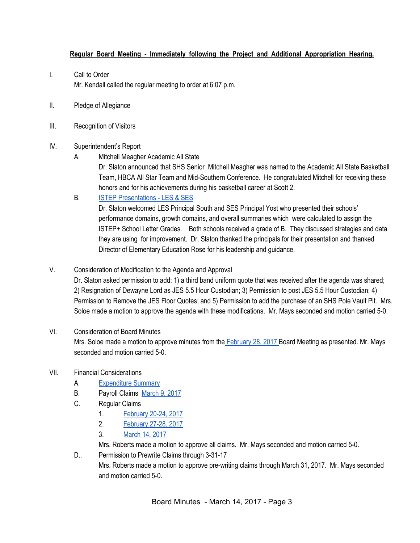# **Regular Board Meeting - Immediately following the Project and Additional Appropriation Hearing.**

- I. Call to Order Mr. Kendall called the regular meeting to order at 6:07 p.m.
- II. Pledge of Allegiance
- III. Recognition of Visitors

## IV. Superintendent's Report

A. Mitchell Meagher Academic All State

Dr. Slaton announced that SHS Senior Mitchell Meagher was named to the Academic All State Basketball Team, HBCA All Star Team and Mid-Southern Conference. He congratulated Mitchell for receiving these honors and for his achievements during his basketball career at Scott 2.

B. ISTEP [Presentations](https://docs.google.com/presentation/d/1r1i_4oFcgrTswfZoJHhmm6BaTg1B0Hb6XFa3Xx0bwJk/edit#slide=id.p) - LES & SES

Dr. Slaton welcomed LES Principal South and SES Principal Yost who presented their schools' performance domains, growth domains, and overall summaries which were calculated to assign the ISTEP+ School Letter Grades. Both schools received a grade of B. They discussed strategies and data they are using for improvement. Dr. Slaton thanked the principals for their presentation and thanked Director of Elementary Education Rose for his leadership and guidance.

V. Consideration of Modification to the Agenda and Approval

Dr. Slaton asked permission to add: 1) a third band uniform quote that was received after the agenda was shared; 2) Resignation of Dewayne Lord as JES 5.5 Hour Custodian; 3) Permission to post JES 5.5 Hour Custodian; 4) Permission to Remove the JES Floor Quotes; and 5) Permission to add the purchase of an SHS Pole Vault Pit. Mrs. Soloe made a motion to approve the agenda with these modifications. Mr. Mays seconded and motion carried 5-0.

# VI. Consideration of Board Minutes

Mrs. Soloe made a motion to approve minutes from the [February](https://docs.google.com/document/d/1Mx77mUMZmrzDI-lsUefArbsZb2zMoKN6r_kDNeFDLFE/edit) 28, 2017 Board Meeting as presented. Mr. Mays seconded and motion carried 5-0.

# VII. Financial Considerations

- A. [Expenditure](https://drive.google.com/file/d/0BxXvxnGh3EX1RWhmX1F6eEdqVnhwMV9RM2hxSnBtSmRXV0Jr/view) Summary
- B. Payroll Claims [March](https://drive.google.com/file/d/0BxXvxnGh3EX1S3dkMEJKbXJSTTZzY1lOOWRFcDJ4YlFUZGNF/view) 9, 2017
- C. Regular Claims
	- 1. [February](https://drive.google.com/file/d/0BxXvxnGh3EX1VmpRSHN6Vm9rNjhSeGE5OXZtbllEMHE5U3BJ/view) 20-24, 2017
	- 2. [February](https://drive.google.com/file/d/0BxXvxnGh3EX1eEs3YWNaQU5WM0thMjltTTZ2VjZ4Si1jS0g4/view) 27-28, 2017
	- 3. [March](https://drive.google.com/file/d/0BxXvxnGh3EX1a1FkeG9zMHJiUWtLY21sRjhrWjc1ektQMkMw/view) 14, 2017

Mrs. Roberts made a motion to approve all claims. Mr. Mays seconded and motion carried 5-0.

D.. Permission to Prewrite Claims through 3-31-17 Mrs. Roberts made a motion to approve pre-writing claims through March 31, 2017. Mr. Mays seconded and motion carried 5-0.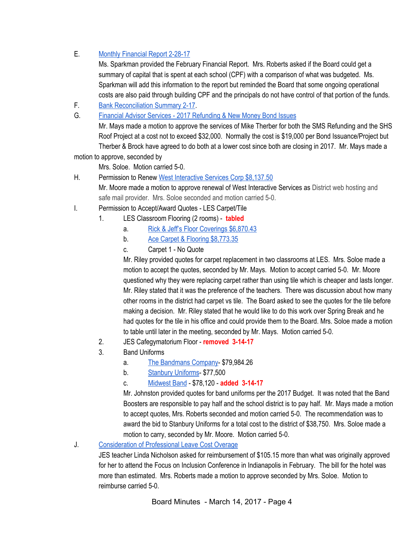# E. Monthly [Financial](https://drive.google.com/file/d/0BxXvxnGh3EX1dC1OcGRXSHU0V2paOWxfVF9FbnR4TU5UWDl3/view) Report 2-28-17

Ms. Sparkman provided the February Financial Report. Mrs. Roberts asked if the Board could get a summary of capital that is spent at each school (CPF) with a comparison of what was budgeted. Ms. Sparkman will add this information to the report but reminded the Board that some ongoing operational costs are also paid through building CPF and the principals do not have control of that portion of the funds.

- F. Bank [Reconciliation](https://drive.google.com/file/d/0BxXvxnGh3EX1OGRGWTFWUjNGc0MzcEk1Sjg3MnZCQ09YYWc0/view) Summary 2-17.
- G. Financial Advisor Services 2017 [Refunding](https://drive.google.com/file/d/0BxXvxnGh3EX1bDU3cWdINXN1VGh0WnhFSGpWNWxVaVozODE4/view) & New Money Bond Issues

Mr. Mays made a motion to approve the services of Mike Therber for both the SMS Refunding and the SHS Roof Project at a cost not to exceed \$32,000. Normally the cost is \$19,000 per Bond Issuance/Project but Therber & Brock have agreed to do both at a lower cost since both are closing in 2017. Mr. Mays made a motion to approve, seconded by

Mrs. Soloe. Motion carried 5-0.

- H. Permission to Renew West [Interactive](https://drive.google.com/file/d/0BxXvxnGh3EX1ZjJPc3lZSW9jRHJVUlg3dl9IUFVjaGE2eWw4/view) Services Corp \$8,137.50 Mr. Moore made a motion to approve renewal of West Interactive Services as District web hosting and safe mail provider. Mrs. Soloe seconded and motion carried 5-0.
- I. Permission to Accept/Award Quotes LES Carpet/Tile
	- 1. LES Classroom Flooring (2 rooms) **tabled**
		- a. Rick & Jeff's Floor [Coverings](https://drive.google.com/file/d/0BxXvxnGh3EX1U2VIRGx2YzdCSVU4NU0zMGhtVjZJN2s4TDNV/view) \$6,870.43
		- b. Ace Carpet & Flooring [\\$8,773.35](https://drive.google.com/file/d/0BxXvxnGh3EX1MFA4VkV1eEcwRTRSeGRvZDVPemRnbTNvbGw4/view)
		- c. Carpet 1 No Quote

Mr. Riley provided quotes for carpet replacement in two classrooms at LES. Mrs. Soloe made a motion to accept the quotes, seconded by Mr. Mays. Motion to accept carried 5-0. Mr. Moore questioned why they were replacing carpet rather than using tile which is cheaper and lasts longer. Mr. Riley stated that it was the preference of the teachers. There was discussion about how many other rooms in the district had carpet vs tile. The Board asked to see the quotes for the tile before making a decision. Mr. Riley stated that he would like to do this work over Spring Break and he had quotes for the tile in his office and could provide them to the Board. Mrs. Soloe made a motion to table until later in the meeting, seconded by Mr. Mays. Motion carried 5-0.

- 2. JES Cafegymatorium Floor **removed 3-14-17**
- 3. Band Uniforms
	- a. The [Bandmans](https://drive.google.com/file/d/0BxXvxnGh3EX1MHdHQkZWeEdMN2UtLWxnLTl2T2F6WUpYbGVj/view) Company- \$79,984.26
	- b. Stanbury [Uniforms-](https://drive.google.com/file/d/0BxXvxnGh3EX1dXhyZ2xPNXlHNTNKN2ViUFBhSnNYNm5iRGpZ/view) \$77,500
	- c. [Midwest](https://drive.google.com/file/d/0BxXvxnGh3EX1SDFQZmxsV2o2S3VUMnFvS01nYTNFSjY1VmtZ/view) Band \$78,120 **added 3-14-17**

Mr. Johnston provided quotes for band uniforms per the 2017 Budget. It was noted that the Band Boosters are responsible to pay half and the school district is to pay half. Mr. Mays made a motion to accept quotes, Mrs. Roberts seconded and motion carried 5-0. The recommendation was to award the bid to Stanbury Uniforms for a total cost to the district of \$38,750. Mrs. Soloe made a motion to carry, seconded by Mr. Moore. Motion carried 5-0.

## J. [Consideration](https://drive.google.com/file/d/0BxXvxnGh3EX1MHRzOTAwb3Q1bjlLWi1NSmVzY0ZtV0pWVWxV/view) of Professional Leave Cost Overage

JES teacher Linda Nicholson asked for reimbursement of \$105.15 more than what was originally approved for her to attend the Focus on Inclusion Conference in Indianapolis in February. The bill for the hotel was more than estimated. Mrs. Roberts made a motion to approve seconded by Mrs. Soloe. Motion to reimburse carried 5-0.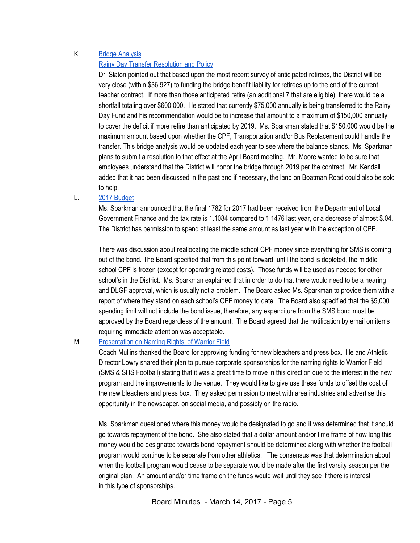# K. Bridge [Analysis](https://drive.google.com/file/d/0BxXvxnGh3EX1YVdGNjBfN2psbmgzOUJJVlFxVGx3dVNkMVJN/view)

#### Rainy Day Transfer [Resolution](https://drive.google.com/file/d/0BxXvxnGh3EX1YktRcWNBaEpCTVpLM1hEOXlCWVNwel82eGdn/view) and Policy

Dr. Slaton pointed out that based upon the most recent survey of anticipated retirees, the District will be very close (within \$36,927) to funding the bridge benefit liability for retirees up to the end of the current teacher contract. If more than those anticipated retire (an additional 7 that are eligible), there would be a shortfall totaling over \$600,000. He stated that currently \$75,000 annually is being transferred to the Rainy Day Fund and his recommendation would be to increase that amount to a maximum of \$150,000 annually to cover the deficit if more retire than anticipated by 2019. Ms. Sparkman stated that \$150,000 would be the maximum amount based upon whether the CPF, Transportation and/or Bus Replacement could handle the transfer. This bridge analysis would be updated each year to see where the balance stands. Ms. Sparkman plans to submit a resolution to that effect at the April Board meeting. Mr. Moore wanted to be sure that employees understand that the District will honor the bridge through 2019 per the contract. Mr. Kendall added that it had been discussed in the past and if necessary, the land on Boatman Road could also be sold to help.

#### L. 2017 [Budget](https://drive.google.com/file/d/0BxXvxnGh3EX1enNfX3BMUnl6U2V2S2c5b1NVUks5N1lGWjdV/view)

Ms. Sparkman announced that the final 1782 for 2017 had been received from the Department of Local Government Finance and the tax rate is 1.1084 compared to 1.1476 last year, or a decrease of almost \$.04. The District has permission to spend at least the same amount as last year with the exception of CPF.

There was discussion about reallocating the middle school CPF money since everything for SMS is coming out of the bond. The Board specified that from this point forward, until the bond is depleted, the middle school CPF is frozen (except for operating related costs). Those funds will be used as needed for other school's in the District. Ms. Sparkman explained that in order to do that there would need to be a hearing and DLGF approval, which is usually not a problem. The Board asked Ms. Sparkman to provide them with a report of where they stand on each school's CPF money to date. The Board also specified that the \$5,000 spending limit will not include the bond issue, therefore, any expenditure from the SMS bond must be approved by the Board regardless of the amount. The Board agreed that the notification by email on items requiring immediate attention was acceptable.

## M. [Presentation](https://drive.google.com/file/d/0BxXvxnGh3EX1VU9xb0dJdEQxQVNXRkF1eGg4bi0tOXFUbHc0/view) on Naming Rights' of Warrior Field

Coach Mullins thanked the Board for approving funding for new bleachers and press box. He and Athletic Director Lowry shared their plan to pursue corporate sponsorships for the naming rights to Warrior Field (SMS & SHS Football) stating that it was a great time to move in this direction due to the interest in the new program and the improvements to the venue. They would like to give use these funds to offset the cost of the new bleachers and press box. They asked permission to meet with area industries and advertise this opportunity in the newspaper, on social media, and possibly on the radio.

Ms. Sparkman questioned where this money would be designated to go and it was determined that it should go towards repayment of the bond. She also stated that a dollar amount and/or time frame of how long this money would be designated towards bond repayment should be determined along with whether the football program would continue to be separate from other athletics. The consensus was that determination about when the football program would cease to be separate would be made after the first varsity season per the original plan. An amount and/or time frame on the funds would wait until they see if there is interest in this type of sponsorships.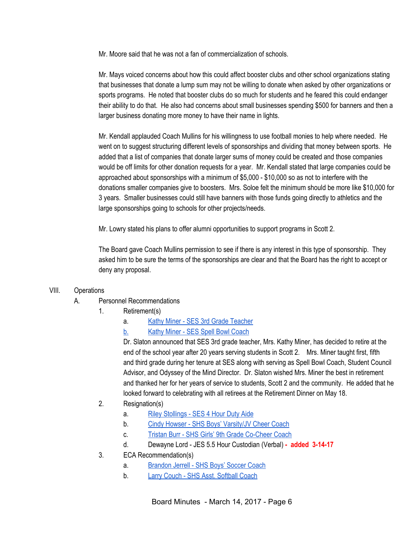Mr. Moore said that he was not a fan of commercialization of schools.

Mr. Mays voiced concerns about how this could affect booster clubs and other school organizations stating that businesses that donate a lump sum may not be willing to donate when asked by other organizations or sports programs. He noted that booster clubs do so much for students and he feared this could endanger their ability to do that. He also had concerns about small businesses spending \$500 for banners and then a larger business donating more money to have their name in lights.

Mr. Kendall applauded Coach Mullins for his willingness to use football monies to help where needed. He went on to suggest structuring different levels of sponsorships and dividing that money between sports. He added that a list of companies that donate larger sums of money could be created and those companies would be off limits for other donation requests for a year. Mr. Kendall stated that large companies could be approached about sponsorships with a minimum of \$5,000 - \$10,000 so as not to interfere with the donations smaller companies give to boosters. Mrs. Soloe felt the minimum should be more like \$10,000 for 3 years. Smaller businesses could still have banners with those funds going directly to athletics and the large sponsorships going to schools for other projects/needs.

Mr. Lowry stated his plans to offer alumni opportunities to support programs in Scott 2.

The Board gave Coach Mullins permission to see if there is any interest in this type of sponsorship. They asked him to be sure the terms of the sponsorships are clear and that the Board has the right to accept or deny any proposal.

## VIII. Operations

- A. Personnel Recommendations
	- 1. Retirement(s)
		- a. Kathy Miner SES 3rd Grade [Teacher](https://drive.google.com/file/d/0BxXvxnGh3EX1UnJpSmtzWGhqd1pDUUpFRUdmbkFWaUM1RG9B/view)
		- [b.](https://drive.google.com/file/d/0BxXvxnGh3EX1UnJpSmtzWGhqd1pDUUpFRUdmbkFWaUM1RG9B/view) Kathy Miner SES Spell Bowl [Coach](https://drive.google.com/file/d/0BxXvxnGh3EX1UnJpSmtzWGhqd1pDUUpFRUdmbkFWaUM1RG9B/view)

Dr. Slaton announced that SES 3rd grade teacher, Mrs. Kathy Miner, has decided to retire at the end of the school year after 20 years serving students in Scott 2. Mrs. Miner taught first, fifth and third grade during her tenure at SES along with serving as Spell Bowl Coach, Student Council Advisor, and Odyssey of the Mind Director. Dr. Slaton wished Mrs. Miner the best in retirement and thanked her for her years of service to students, Scott 2 and the community. He added that he looked forward to celebrating with all retirees at the Retirement Dinner on May 18.

- 2. Resignation(s)
	- a. Riley [Stollings](https://drive.google.com/file/d/0BxXvxnGh3EX1X21MWDlCRDJYRTMya2VhTnBmZEszck1FMDd3/view) SES 4 Hour Duty Aide
	- b. Cindy Howser SHS Boys' [Varsity/JV](https://drive.google.com/file/d/0BxXvxnGh3EX1OGcwUEdrUXpxNm8tcVV6bGxLMldGRGpiMDRz/view) Cheer Coach
	- c. Tristan Burr SHS Girls' 9th Grade [Co-Cheer](https://drive.google.com/file/d/0BxXvxnGh3EX1RTNWWGMtdjVzQlNDVWlwM0E0R1ZudTg1Qmxr/view) Coach
	- d. Dewayne Lord JES 5.5 Hour Custodian (Verbal) **- added 3-14-17**
- 3. ECA Recommendation(s)
	- a. [Brandon](https://drive.google.com/file/d/0BxXvxnGh3EX1OG5XLUdkdFdPR3YtZU0tem1YaVJFMlhsV2lJ/view) Jerrell SHS Boys' Soccer Coach
	- b. Larry Couch SHS Asst. [Softball](https://drive.google.com/file/d/0BxXvxnGh3EX1U3VwUFN1R3lUdHNzX2tqVk5hUmVOQXBlc3U4/view) Coach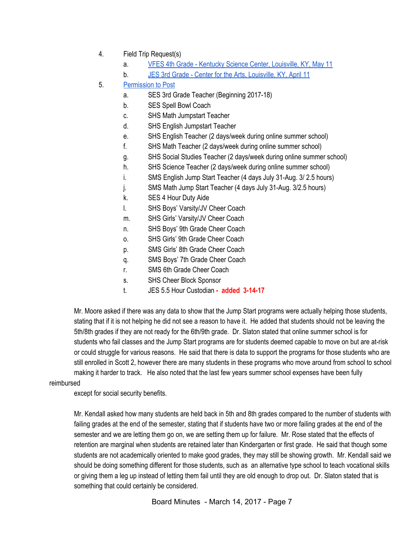- 4. Field Trip Request(s)
	- a. VFES 4th Grade Kentucky Science Center, [Louisville,](https://drive.google.com/file/d/0BxXvxnGh3EX1cDVtMEwzVmNJNmp2Wnc0U1pJV2NFTkRTY0Q4/view) KY, May 11
	- b. JES 3rd Grade Center for the Arts, [Louisville,](https://drive.google.com/file/d/0BxXvxnGh3EX1ZXJyNlJPUHc3VXBuWWlJRGF1UGpLNGU0RzN3/view) KY, April 11
- 5. [Permission](https://docs.google.com/document/d/14ZpBBadWRWdroEY4HYCuMFEtV6JeNc5iewJU6RYLOwg/edit) to Post
	- a. SES 3rd Grade Teacher (Beginning 2017-18)
	- b. SES Spell Bowl Coach
	- c. SHS Math Jumpstart Teacher
	- d. SHS English Jumpstart Teacher
	- e. SHS English Teacher (2 days/week during online summer school)
	- f. SHS Math Teacher (2 days/week during online summer school)
	- g. SHS Social Studies Teacher (2 days/week during online summer school)
	- h. SHS Science Teacher (2 days/week during online summer school)
	- i. SMS English Jump Start Teacher (4 days July 31-Aug. 3/ 2.5 hours)
	- j. SMS Math Jump Start Teacher (4 days July 31-Aug. 3/2.5 hours)
	- k. SES 4 Hour Duty Aide
	- l. SHS Boys' Varsity/JV Cheer Coach
	- m. SHS Girls' Varsity/JV Cheer Coach
	- n. SHS Boys' 9th Grade Cheer Coach
	- o. SHS Girls' 9th Grade Cheer Coach
	- p. SMS Girls' 8th Grade Cheer Coach
	- q. SMS Boys' 7th Grade Cheer Coach
	- r. SMS 6th Grade Cheer Coach
	- s. SHS Cheer Block Sponsor
	- t. JES 5.5 Hour Custodian **- added 3-14-17**

Mr. Moore asked if there was any data to show that the Jump Start programs were actually helping those students, stating that if it is not helping he did not see a reason to have it. He added that students should not be leaving the 5th/8th grades if they are not ready for the 6th/9th grade. Dr. Slaton stated that online summer school is for students who fail classes and the Jump Start programs are for students deemed capable to move on but are at-risk or could struggle for various reasons. He said that there is data to support the programs for those students who are still enrolled in Scott 2, however there are many students in these programs who move around from school to school making it harder to track. He also noted that the last few years summer school expenses have been fully

#### reimbursed

except for social security benefits.

Mr. Kendall asked how many students are held back in 5th and 8th grades compared to the number of students with failing grades at the end of the semester, stating that if students have two or more failing grades at the end of the semester and we are letting them go on, we are setting them up for failure. Mr. Rose stated that the effects of retention are marginal when students are retained later than Kindergarten or first grade. He said that though some students are not academically oriented to make good grades, they may still be showing growth. Mr. Kendall said we should be doing something different for those students, such as an alternative type school to teach vocational skills or giving them a leg up instead of letting them fail until they are old enough to drop out. Dr. Slaton stated that is something that could certainly be considered.

Board Minutes - March 14, 2017 - Page 7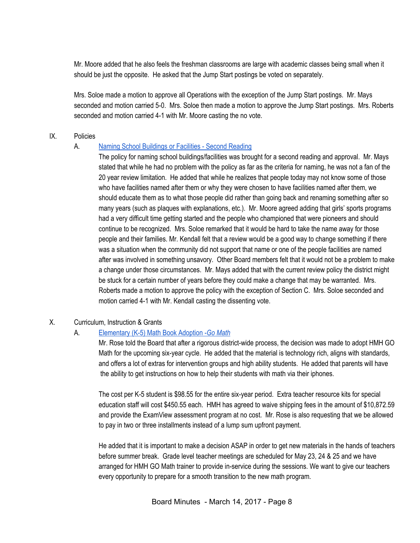Mr. Moore added that he also feels the freshman classrooms are large with academic classes being small when it should be just the opposite. He asked that the Jump Start postings be voted on separately.

Mrs. Soloe made a motion to approve all Operations with the exception of the Jump Start postings. Mr. Mays seconded and motion carried 5-0. Mrs. Soloe then made a motion to approve the Jump Start postings. Mrs. Roberts seconded and motion carried 4-1 with Mr. Moore casting the no vote.

#### IX. Policies

## A. Naming School [Buildings](https://docs.google.com/document/d/1n-ZOzOzNwkO63h4lClcu_rf_rCzJaAbZ082f17o7PA8/edit) or Facilities - Second Reading

The policy for naming school buildings/facilities was brought for a second reading and approval. Mr. Mays stated that while he had no problem with the policy as far as the criteria for naming, he was not a fan of the 20 year review limitation. He added that while he realizes that people today may not know some of those who have facilities named after them or why they were chosen to have facilities named after them, we should educate them as to what those people did rather than going back and renaming something after so many years (such as plaques with explanations, etc.). Mr. Moore agreed adding that girls' sports programs had a very difficult time getting started and the people who championed that were pioneers and should continue to be recognized. Mrs. Soloe remarked that it would be hard to take the name away for those people and their families. Mr. Kendall felt that a review would be a good way to change something if there was a situation when the community did not support that name or one of the people facilities are named after was involved in something unsavory. Other Board members felt that it would not be a problem to make a change under those circumstances. Mr. Mays added that with the current review policy the district might be stuck for a certain number of years before they could make a change that may be warranted. Mrs. Roberts made a motion to approve the policy with the exception of Section C. Mrs. Soloe seconded and motion carried 4-1 with Mr. Kendall casting the dissenting vote.

# X. Curriculum, Instruction & Grants

# A. [Elementary](https://docs.google.com/document/d/1l7XZLiRbIJ_TimW_pl1Cqh--BF4AbshMIY8WafH4Fus/edit?ts=58c82238) (K-5) Math Book Adoption -*Go [Math](https://docs.google.com/document/d/1l7XZLiRbIJ_TimW_pl1Cqh--BF4AbshMIY8WafH4Fus/edit?ts=58c82238)*

Mr. Rose told the Board that after a rigorous district-wide process, the decision was made to adopt HMH GO Math for the upcoming six-year cycle. He added that the material is technology rich, aligns with standards, and offers a lot of extras for intervention groups and high ability students. He added that parents will have the ability to get instructions on how to help their students with math via their iphones.

The cost per K-5 student is \$98.55 for the entire six-year period. Extra teacher resource kits for special education staff will cost \$450.55 each. HMH has agreed to waive shipping fees in the amount of \$10,872.59 and provide the ExamView assessment program at no cost. Mr. Rose is also requesting that we be allowed to pay in two or three installments instead of a lump sum upfront payment.

He added that it is important to make a decision ASAP in order to get new materials in the hands of teachers before summer break. Grade level teacher meetings are scheduled for May 23, 24 & 25 and we have arranged for HMH GO Math trainer to provide in-service during the sessions. We want to give our teachers every opportunity to prepare for a smooth transition to the new math program.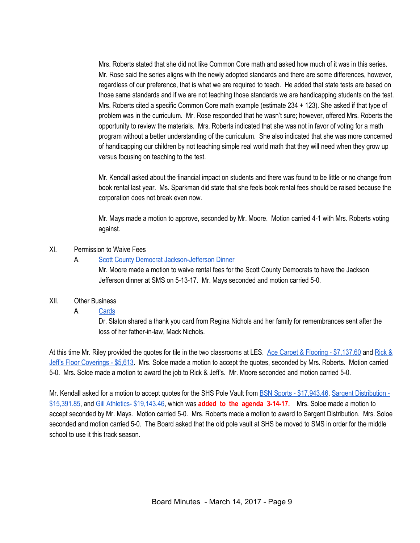Mrs. Roberts stated that she did not like Common Core math and asked how much of it was in this series. Mr. Rose said the series aligns with the newly adopted standards and there are some differences, however, regardless of our preference, that is what we are required to teach. He added that state tests are based on those same standards and if we are not teaching those standards we are handicapping students on the test. Mrs. Roberts cited a specific Common Core math example (estimate 234 + 123). She asked if that type of problem was in the curriculum. Mr. Rose responded that he wasn't sure; however, offered Mrs. Roberts the opportunity to review the materials. Mrs. Roberts indicated that she was not in favor of voting for a math program without a better understanding of the curriculum. She also indicated that she was more concerned of handicapping our children by not teaching simple real world math that they will need when they grow up versus focusing on teaching to the test.

Mr. Kendall asked about the financial impact on students and there was found to be little or no change from book rental last year. Ms. Sparkman did state that she feels book rental fees should be raised because the corporation does not break even now.

Mr. Mays made a motion to approve, seconded by Mr. Moore. Motion carried 4-1 with Mrs. Roberts voting against.

#### XI. Permission to Waive Fees

## A. Scott County Democrat [Jackson-Jefferson](https://drive.google.com/file/d/0BxXvxnGh3EX1Ykc3cGhFOEk0Y0QyXy1ETHpudGJibmgySGxZ/view) Dinner

Mr. Moore made a motion to waive rental fees for the Scott County Democrats to have the Jackson Jefferson dinner at SMS on 5-13-17. Mr. Mays seconded and motion carried 5-0.

## XII. Other Business

#### A. [Cards](https://drive.google.com/file/d/0BxXvxnGh3EX1RWhEb0tCd3BOeHU1dHk4SnpndzAtYmxIMmRB/view)

Dr. Slaton shared a thank you card from Regina Nichols and her family for remembrances sent after the loss of her father-in-law, Mack Nichols.

At this time Mr. Riley provided the quotes for tile in the two classrooms at LES. Ace Carpet & Flooring - [\\$7,137.60](https://drive.google.com/file/d/0BxXvxnGh3EX1bm9rcEVPdmZYZG9zaGxaYklpNGJVak1jQjBr/view) and [Rick](https://drive.google.com/file/d/0BxXvxnGh3EX1MGxMM0dITUdjZGdXQXMxZGtxSjY0R0o5alNj/view) & Jeff's Floor [Coverings](https://drive.google.com/file/d/0BxXvxnGh3EX1MGxMM0dITUdjZGdXQXMxZGtxSjY0R0o5alNj/view) - \$5,613. Mrs. Soloe made a motion to accept the quotes, seconded by Mrs. Roberts. Motion carried 5-0. Mrs. Soloe made a motion to award the job to Rick & Jeff's. Mr. Moore seconded and motion carried 5-0.

Mr. Kendall asked for a motion to accept quotes for the SHS Pole Vault from BSN Sports - [\\$17,943.46,](https://drive.google.com/file/d/0BxXvxnGh3EX1cW9UYTlJYll6eEdJcFNhV3dIS2pBbVc1ZG9F/view) Sargent [Distribution](https://drive.google.com/file/d/0BxXvxnGh3EX1Q0JGY2YxdFZadGFKQTV5WnU2MXhZRGhkdmE0/view) - [\\$15,391.85,](https://drive.google.com/file/d/0BxXvxnGh3EX1Q0JGY2YxdFZadGFKQTV5WnU2MXhZRGhkdmE0/view) and Gill Athletics- [\\$19,143.46,](https://drive.google.com/file/d/0BxXvxnGh3EX1bExyTk5IQVVMVnZIaFA2NXVVeVhSZ0VFZG1F/view) which was **added to the agenda 3-14-17.** Mrs. Soloe made a motion to accept seconded by Mr. Mays. Motion carried 5-0. Mrs. Roberts made a motion to award to Sargent Distribution. Mrs. Soloe seconded and motion carried 5-0. The Board asked that the old pole vault at SHS be moved to SMS in order for the middle school to use it this track season.